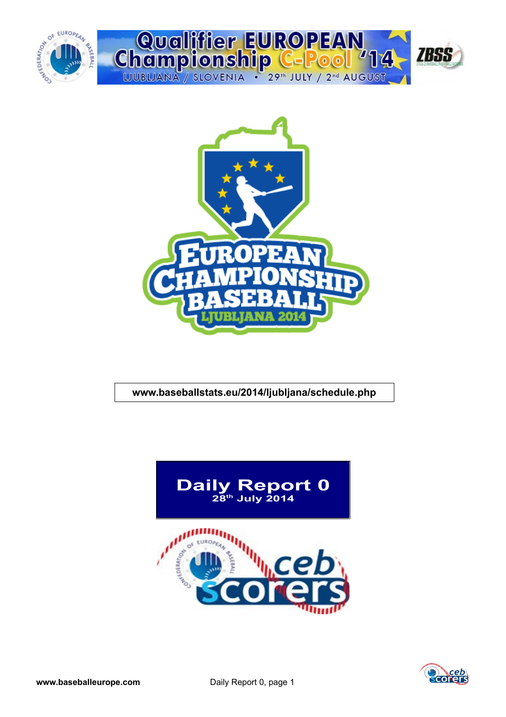



#### **www.baseballstats.eu/2014/ljubljana/schedule.php**



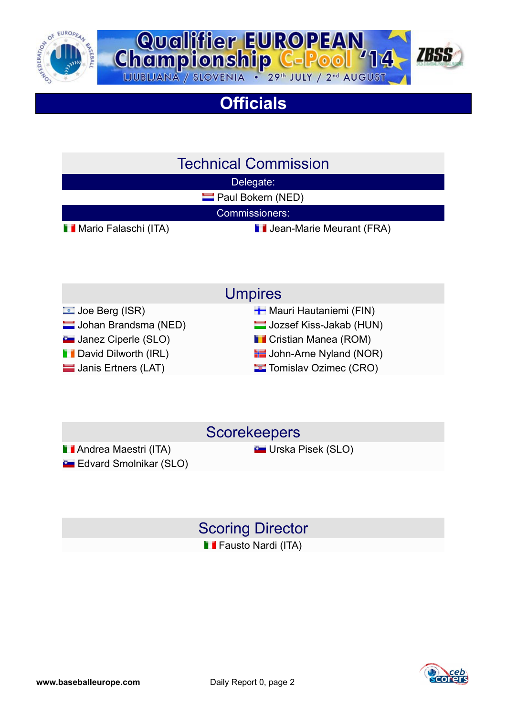



## **Officials**

### Technical Commission

Delegate:

**Paul Bokern (NED)** 

Commissioners:

**Mario Falaschi (ITA)** Jean-Marie Meurant (FRA)

- Umpires
- Joe Berg (ISR) Mauri Hautaniemi (FIN)
- Johan Brandsma (NED) Jozsef Kiss-Jakab (HUN)
- **L** Janez Ciperle (SLO) Cristian Manea (ROM)
- **Digitary David Dilworth (IRL) Comparent Contract Contract Property** John-Arne Nyland (NOR)
- **Janis Ertners (LAT)** Tomislav Ozimec (CRO)

#### **Scorekeepers**

**Andrea Maestri (ITA)** Contract Constantine Constantine Mateurs Constantine Constantine Constantine Constantine Constantine Constantine Constantine Constantine Constantine Constantine Constantine Constantine Constantine Co **Edvard Smolnikar (SLO)** 

#### Scoring Director **Fausto Nardi (ITA)**

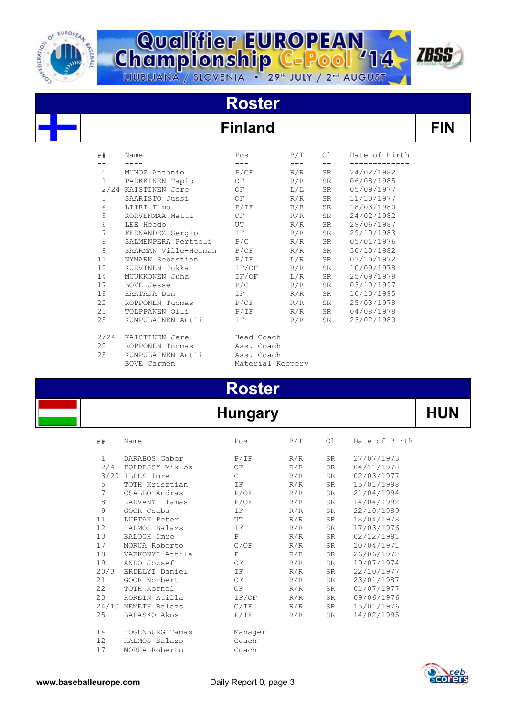

# **Championship C-Pool** '14



# **Roster**

### $Find$

| ##                | Name                    | Pos              | B/T                       | C1 | Date of Birth |
|-------------------|-------------------------|------------------|---------------------------|----|---------------|
|                   |                         |                  |                           |    |               |
| $\circ$           | MUNOZ Antonio           | P/OF             | R/R                       | SR | 24/02/1982    |
| $\mathbf{1}$      | PARKKINEN Tapio         | ΟF               | R/R                       | SR | 06/08/1985    |
|                   | 2/24 KAISTINEN Jere     | OF               | $\mathbb{L} / \mathbb{L}$ | SR | 05/09/1977    |
| 3                 | SAARISTO Jussi          | OF               | R/R                       | SR | 11/10/1977    |
| 4                 | LIIRI Timo              | P/IF             | R/R                       | SR | 18/03/1980    |
| 5                 | KORVENMAA Matti         | ΟF               | R/R                       | SR | 24/02/1982    |
| 6                 | LEE Heedo               | UT               | R/R                       | SR | 29/06/1987    |
| $\overline{7}$    | FERNANDEZ Sergio IF     |                  | R/R                       | SR | 29/10/1983    |
| $\,8\,$           | SALMENPERA Pertteli P/C |                  | R/R                       | SR | 05/01/1976    |
| 9                 | SAARMAN Ville-Herman    | P/OF             | R/R                       | SR | 30/10/1982    |
| 11                | NYMARK Sebastian        | P/IF             | L/R                       | SR | 03/10/1972    |
| $12 \overline{ }$ | KURVINEN Jukka          | $IF/OF$ $R/R$    |                           | SR | 10/09/1978    |
| 14                | MUUKKONEN Juha          | $IF/OF$ $L/R$    |                           | SR | 25/09/1978    |
| 17                | BOVE Jesse              | P/C              | R/R                       | SR | 03/10/1997    |
| 18                | HAATAJA Dan             | IF               | R/R                       | SR | 10/10/1995    |
| 22                | ROPPONEN Tuomas         | $P/OF$ $R/R$     |                           | SR | 25/03/1978    |
| 23                | TOLPPANEN Olli          | P/IF             | R/R                       | SR | 04/08/1978    |
| 25                | KUMPULAINEN Antii       | IF               | R/R                       | SR | 23/02/1980    |
| 2/24              | KAISTINEN Jere          | Head Coach       |                           |    |               |
| 22                | ROPPONEN Tuomas         | Ass. Coach       |                           |    |               |
| 25                | KUMPULAINEN Antii       | Ass. Coach       |                           |    |               |
|                   | <b>BOVE Carmen</b>      | Material Keepery |                           |    |               |

## **Roster**

#### **Hungary HUN**

| ##                | Name                | Pos            | B/T | C1    | Date of Birth |
|-------------------|---------------------|----------------|-----|-------|---------------|
|                   |                     |                |     | $- -$ |               |
| $\mathbf{1}$      | DARABOS Gabor       | P/IF           | R/R | SR    | 27/07/1973    |
|                   | 2/4 FOLDESSY Miklos | OF             | R/R | SR    | 04/11/1978    |
|                   | 3/20 ILLES Imre     | $\mathsf{C}^-$ | R/R | SR    | 02/03/1977    |
| 5                 | TOTH Krisztian      | IF             | R/R | SR    | 15/01/1998    |
| $\overline{7}$    | CSALLO Andras       | P/OF           | R/R | SR    | 21/04/1994    |
| 8                 | RADVANYI Tamas      | P/OF           | R/R | SR    | 14/04/1992    |
| 9                 | GOOR Csaba          | IF             | R/R | SR    | 22/10/1989    |
| 11                | LUPTAK Peter        | UT             | R/R | SR    | 18/04/1978    |
| 12                | HALMOS Balazs       | IF.            | R/R | SR    | 17/03/1976    |
| 13                | BALOGH Imre         | $\mathsf{P}$   | R/R | SR    | 02/12/1991    |
| 17                | MORUA Roberto       | C/OF           | R/R | SR    | 20/04/1971    |
| 18                | VARKONYI Attila     | $\mathbf{P}$   | R/R | SR    | 26/06/1972    |
| 19                | ANDO Jozsef         | ΟF             | R/R | SR    | 19/07/1974    |
| 20/3              | ERDELYI Daniel      | IF             | R/R | SR    | 22/10/1977    |
| 21                | GOOR Norbert        | OF             | R/R | SR    | 23/01/1987    |
| 22                | TOTH Kornel         | OF             | R/R | SR    | 01/07/1977    |
| 23                | KOREIN Atilla       | IF/OF          | R/R | SR    | 09/06/1976    |
|                   | 24/10 NEMETH Balazs | C/IF           | R/R | SR    | 15/01/1976    |
| 25                | BALASKO Akos        | P/IF           | R/R | SR    | 14/02/1995    |
| 14                | HOGENBURG Tamas     | Manager        |     |       |               |
| $12 \overline{ }$ | HALMOS Balazs       | Coach          |     |       |               |
| 17                | MORUA Roberto       | Coach          |     |       |               |

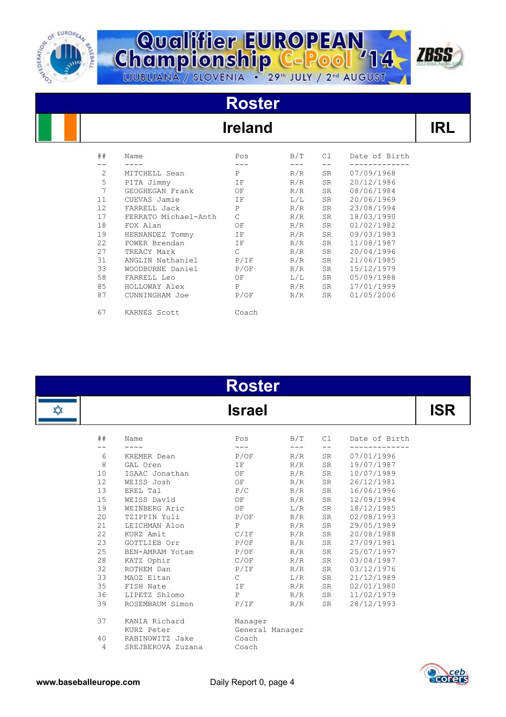

# **Championship C-Pool** 14



# **Roster**

### **Ireland**

| ##             | Name                 | Pos           | B/T                     | Cl —      | Date of Birth |
|----------------|----------------------|---------------|-------------------------|-----------|---------------|
|                |                      |               |                         |           |               |
| 2              | MITCHELL Sean        | P             | R/R                     | <b>SR</b> | 07/09/1968    |
| 5              | PITA Jimmy           | ΙF            | R/R                     | <b>SR</b> | 20/12/1986    |
| $\overline{7}$ | GEOGHEGAN Frank      | OF            | R/R                     | SR        | 08/06/1984    |
| 11             | CUEVAS Jamie         | ΙF            | L/L                     | SR        | 20/06/1969    |
| 12             | FARRELL Jack         | P             | R/R                     | SR        | 23/08/1994    |
| 17             | FERRATO Michael-Anth | $\mathcal{C}$ | R/R                     | <b>SR</b> | 18/03/1990    |
| 18             | FOX Alan             | OF            | R/R                     | SR        | 01/02/1982    |
| 19             | HERNANDEZ Tommy      | IF            | R/R                     | SR        | 09/03/1983    |
| 22             | POWER Brendan        | IF            | R/R                     | <b>SR</b> | 11/08/1987    |
| 27             | TREACY Mark          | $\mathcal{C}$ | R/R                     | <b>SR</b> | 20/04/1996    |
| 31             | ANGLIN Nathaniel     | P/IF          | R/R                     | <b>SR</b> | 21/06/1985    |
| 33             | WOODBURNE Daniel     | P/OF          | R/R                     | SR.       | 15/12/1979    |
| 58             | FARRELL Leo          | OF            | $\mathbb{L}/\mathbb{L}$ | SR        | 05/09/1988    |
| 85             | HOLLOWAY Alex        | P             | R/R                     | SR        | 17/01/1999    |
| 87             | CUNNINGHAM Joe       | P/OF          | R/R                     | SR        | 01/05/2006    |
| 67             | KARNES Scott         | Coach         |                         |           |               |

|   |    |                   | <b>Roster</b>   |     |    |               |            |
|---|----|-------------------|-----------------|-----|----|---------------|------------|
| ✿ |    |                   | <b>Israel</b>   |     |    |               | <b>ISR</b> |
|   | ## | Name              | Pos             | B/T | Cl | Date of Birth |            |
|   | 6  | KREMER Dean       | P/OF            | R/R | SR | 07/01/1996    |            |
|   | 8  | GAL Oren          | ΙF              | R/R | SR | 19/07/1987    |            |
|   | 10 | ISAAC Jonathan    | ΟF              | R/R | SR | 10/07/1989    |            |
|   | 12 | WEISS Josh        | OF              | R/R | SR | 26/12/1981    |            |
|   | 13 | EREL Tal          | P/C             | R/R | SR | 16/06/1996    |            |
|   | 15 | WEISS David       | ΟF              | R/R | SR | 12/09/1994    |            |
|   | 19 | WEINBERG Aric     | OF              | L/R | SR | 18/12/1985    |            |
|   | 20 | TZIPPIN Yuli      | P/OF            | R/R | SR | 02/08/1993    |            |
|   | 21 | LEICHMAN Alon     | $\mathsf{P}$    | R/R | SR | 29/05/1989    |            |
|   | 22 | KURZ Amit         | C/IF            | R/R | SR | 20/08/1988    |            |
|   | 23 | GOTTLIEB Orr      | P/OF            | R/R | SR | 27/09/1981    |            |
|   | 25 | BEN-AMRAM Yotam   | P/OF            | R/R | SR | 25/07/1997    |            |
|   | 28 | KATZ Ophir        | C/OF            | R/R | SR | 03/04/1987    |            |
|   | 32 | ROTHEM Dan        | P/IF            | R/R | SR | 03/12/1976    |            |
|   | 33 | MAOZ Eitan        | $\mathsf{C}$    | L/R | SR | 21/12/1989    |            |
|   | 35 | FISH Nate         | ΙF              | R/R | SR | 02/01/1980    |            |
|   | 36 | LIPETZ Shlomo     | $\mathbf{P}$    | R/R | SR | 11/02/1979    |            |
|   | 39 | ROSEMBAUM Simon   | P/IF            | R/R | SR | 28/12/1993    |            |
|   | 37 | KANIA Richard     | Manager         |     |    |               |            |
|   |    | KURZ Peter        | General Manager |     |    |               |            |
|   | 40 | RABINOWITZ Jake   | Coach           |     |    |               |            |
|   | 4  | SREJBEROVA Zuzana | Coach           |     |    |               |            |

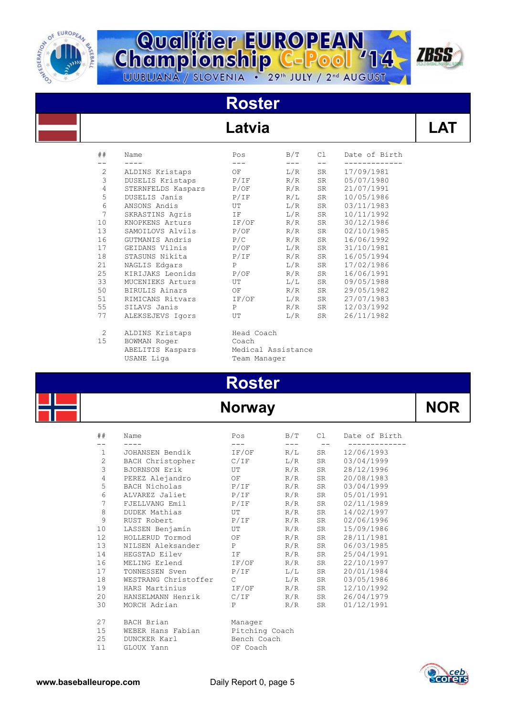

# **Championship C-Pool** 14



# **Roster**

#### Latvia

| ##             | Name               | Pos        | B/T   | C1                                                                                                                                                                                                                             | Date of Birth |
|----------------|--------------------|------------|-------|--------------------------------------------------------------------------------------------------------------------------------------------------------------------------------------------------------------------------------|---------------|
|                |                    | $---$      | $---$ | $- -$                                                                                                                                                                                                                          |               |
| 2              | ALDINS Kristaps    | OF         | L/R   | SR                                                                                                                                                                                                                             | 17/09/1981    |
| 3              | DUSELIS Kristaps   | P/IF       | R/R   | SR                                                                                                                                                                                                                             | 05/07/1980    |
| $\overline{4}$ | STERNFELDS Kaspars | P/OF       | R/R   | SR                                                                                                                                                                                                                             | 21/07/1991    |
| 5              | DUSELIS Janis      | P/IF       | R/L   | SR                                                                                                                                                                                                                             | 10/05/1986    |
| 6              | ANSONS Andis       | UT         | L/R   | SR                                                                                                                                                                                                                             | 03/11/1983    |
| 7              | SKRASTINS Agris    | IF 1       | L/R   | SR                                                                                                                                                                                                                             | 10/11/1992    |
| 10             | KNOPKENS Arturs    | IF/OF      | R/R   | SR                                                                                                                                                                                                                             | 30/12/1986    |
| 13             | SAMOILOVS Alvils   | P/OF       | R/R   | SR                                                                                                                                                                                                                             | 02/10/1985    |
| 16             | GUTMANIS Andris    | P/C        | R/R   | SR                                                                                                                                                                                                                             | 16/06/1992    |
| 17             | GEIDANS Vilnis     | P/OF       | L/R   | SR                                                                                                                                                                                                                             | 31/10/1981    |
| 18             | STASUNS Nikita     | P/IF       | R/R   | SR and the set of the set of the set of the set of the set of the set of the set of the set of the set of the set of the set of the set of the set of the set of the set of the set of the set of the set of the set of the se | 16/05/1994    |
| 21             | NAGLIS Edgars      | P          | L/R   | SR                                                                                                                                                                                                                             | 17/02/1986    |
| 25             | KIRIJAKS Leonids   | P/OF       | R/R   | SR                                                                                                                                                                                                                             | 16/06/1991    |
| 33             | MUCENIEKS Arturs   | UT         | L/L   | SR                                                                                                                                                                                                                             | 09/05/1988    |
| 50             | BIRULIS Ainars     | OF         | R/R   | SR                                                                                                                                                                                                                             | 29/05/1982    |
| 51             | RIMICANS Ritvars   | IF/OF      | L/R   | SR                                                                                                                                                                                                                             | 27/07/1983    |
| 55             | SILAVS Janis       | P          | R/R   | SR                                                                                                                                                                                                                             | 12/03/1992    |
| 77             | ALEKSEJEVS Igors   | UT         | L/R   | SR                                                                                                                                                                                                                             | 26/11/1982    |
| 2              | ALDINS Kristaps    | Head Coach |       |                                                                                                                                                                                                                                |               |

15 BOWMAN Roger<br>
ABELITIS Kaspars Medical Assistance - .<br>ABELITIS Kaspars<br>USANE Liga

Team Manager

# **Roster**

#### **Norway**

| ##             | Name                 | Pos            | B/T | C1 | Date of Birth |  |  |
|----------------|----------------------|----------------|-----|----|---------------|--|--|
|                |                      |                |     |    |               |  |  |
| $\mathbf{1}$   | JOHANSEN Bendik      | IF/OF          | R/L | SR | 12/06/1993    |  |  |
| $\mathbf{2}$   | BACH Christopher     | C/IF           | L/R | SR | 03/04/1999    |  |  |
| 3              | BJORNSON Erik        | UT             | R/R | SR | 28/12/1996    |  |  |
| $\overline{4}$ | PEREZ Alejandro      | OF             | R/R | SR | 20/08/1983    |  |  |
| 5              | BACH Nicholas        | P/IF           | R/R | SR | 03/04/1999    |  |  |
| 6              | ALVAREZ Jaliet       | P/IF           | R/R | SR | 05/01/1991    |  |  |
| $\overline{7}$ | FJELLVANG Emil       | P/IF           | R/R | SR | 02/11/1989    |  |  |
| 8              | DUDEK Mathias        | UT             | R/R | SR | 14/02/1997    |  |  |
| 9              | RUST Robert          | P/IF           | R/R | SR | 02/06/1996    |  |  |
| 10             | LASSEN Benjamin      | UT             | R/R | SR | 15/09/1986    |  |  |
| 12             | HOLLERUD Tormod      | OF             | R/R | SR | 28/11/1981    |  |  |
| 13             | NILSEN Aleksander    | P              | R/R | SR | 06/03/1985    |  |  |
| 14             | HEGSTAD Eilev        | IF -           | R/R | SR | 25/04/1991    |  |  |
| 16             | MELING Erlend        | IF/OF          | R/R | SR | 22/10/1997    |  |  |
| 17             | TONNESSEN Sven       | P/IF           | L/L | SR | 20/01/1984    |  |  |
| 18             | WESTRANG Christoffer | $\mathcal{C}$  | L/R | SR | 03/05/1986    |  |  |
| 19             | HARS Martinius       | IF/OF          | R/R | SR | 12/10/1992    |  |  |
| 20             | HANSELMANN Henrik    | $C/IF$ $R/R$   |     | SR | 26/04/1979    |  |  |
| 30             | MORCH Adrian         | P              | R/R | SR | 01/12/1991    |  |  |
| 27             | BACH Brian           | Manager        |     |    |               |  |  |
| 15             | WEBER Hans Fabian    | Pitching Coach |     |    |               |  |  |
| 25             | DUNCKER Karl         | Bench Coach    |     |    |               |  |  |
| 11             | GLOUX Yann           | OF Coach       |     |    |               |  |  |

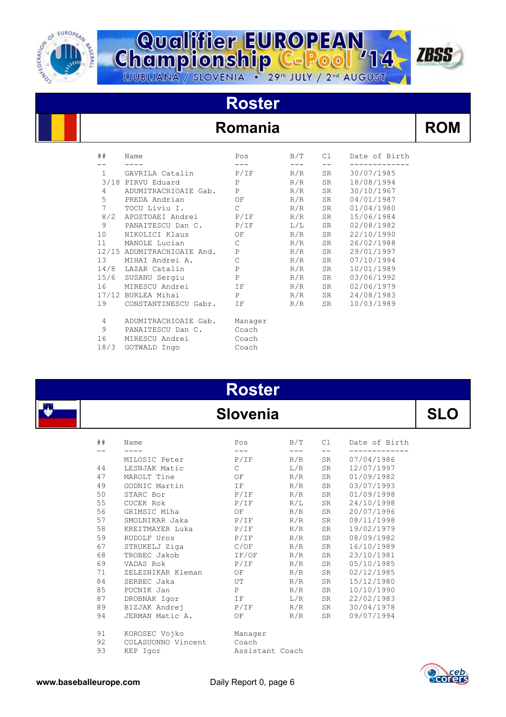



### **Roster**

#### **Romania ROM**

| N<br>P | Ί |  |
|--------|---|--|
|--------|---|--|

| ##              | Name                       | Pos           | B/T | C1 | Date of Birth |
|-----------------|----------------------------|---------------|-----|----|---------------|
| $\mathbf{1}$    | GAVRILA Catalin            | P/IF          | R/R | SR | 30/07/1985    |
|                 | 3/18 PIRVU Eduard          | $\, {\bf P}$  | R/R | SR | 18/08/1994    |
| 4               | ADUMITRACHIOAIE Gab.       | P             | R/R | SR | 30/10/1967    |
| 5               | PREDA Andrian              | ΟF            | R/R | SR | 04/01/1987    |
| $7\overline{ }$ | TOCU Liviu I.              | $\mathcal{C}$ | R/R | SR | 01/04/1980    |
| 8/2             | APOSTOAEI Andrei           | P/IF          | R/R | SR | 15/06/1984    |
| 9               | PANAITESCU Dan C.          | P/IF          | L/L | SR | 02/08/1982    |
| 10              | NIKOLICI Klaus             | OF            | R/R | SR | 22/10/1990    |
| 11              | MANOLE Lucian              | $\mathsf{C}$  | R/R | SR | 26/02/1988    |
|                 | 12/15 ADUMITRACHIOAIE And. | $\mathbf{P}$  | R/R | SR | 29/01/1997    |
| 13              | MIHAI Andrei A.            | $\mathsf C$   | R/R | SR | 07/10/1994    |
|                 | 14/8 LAZAR Catalin         | $\mathbf{P}$  | R/R | SR | 10/01/1989    |
|                 | 15/6 SUSANU Sergiu         | P             | R/R | SR | 03/06/1992    |
| 16              | MIRESCU Andrei             | IF            | R/R | SR | 02/06/1979    |
|                 | 17/12 BURLEA Mihai         | P             | R/R | SR | 24/08/1983    |
| 19              | CONSTANTINESCU Gabr.       | ΙF            | R/R | SR | 10/03/1989    |
| 4               | ADUMITRACHIOAIE Gab.       | Manager       |     |    |               |
| 9               | PANAITESCU Dan C.          | Coach         |     |    |               |
| 16              | MIRESCU Andrei             | Coach         |     |    |               |
| 18/3            | GOTWALD Ingo               | Coach         |     |    |               |







87 DROBNAK Igor IF L/R SR 22/02/1983 89 BIZJAK Andrej P/IF R/R SR 30/04/1978 94 JERMAN Matic A. OF R/R SR 09/07/1994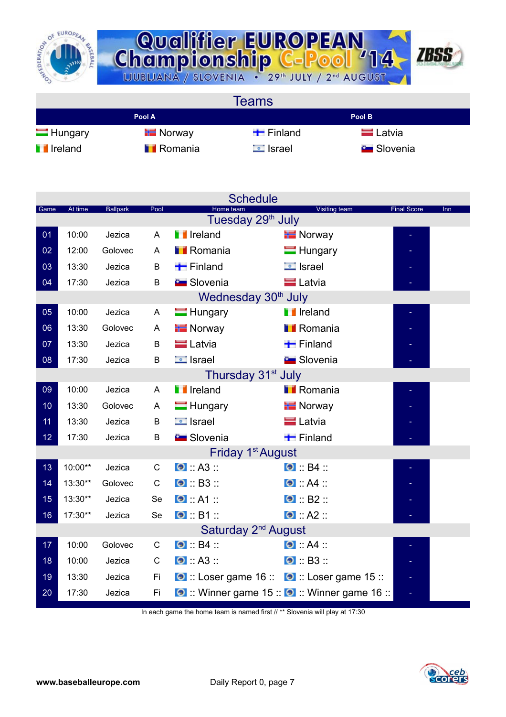



**Teams Pool A Pool B** Hungary Finland Finland Latvia **I** Ireland **I** Romania **I** Israel Slovenia

| <b>Schedule</b>                 |                                |                 |      |                                                    |                                               |                           |  |  |  |  |
|---------------------------------|--------------------------------|-----------------|------|----------------------------------------------------|-----------------------------------------------|---------------------------|--|--|--|--|
| Game                            | At time                        | <b>Ballpark</b> | Pool | Home team<br>Tuesday 29 <sup>th</sup> July         | <b>Visiting team</b>                          | <b>Final Score</b><br>Inn |  |  |  |  |
| 01                              | 10:00                          | Jezica          | A    | <b>I</b> Ireland                                   | <b>Norway</b>                                 |                           |  |  |  |  |
| 02                              | 12:00                          | Golovec         | A    | <b>Romania</b>                                     | $\blacksquare$ Hungary                        |                           |  |  |  |  |
| 03                              | 13:30                          | Jezica          | B    | $\blacksquare$ Finland                             | $\equiv$ Israel                               |                           |  |  |  |  |
| 04                              | 17:30                          | Jezica          | B    | <b>E</b> Slovenia                                  | <b>Latvia</b>                                 |                           |  |  |  |  |
|                                 |                                |                 |      | Wednesday 30 <sup>th</sup> July                    |                                               |                           |  |  |  |  |
| 05                              | 10:00                          | Jezica          | A    | $\blacksquare$ Hungary                             | <b>I</b> Ireland                              |                           |  |  |  |  |
| 06                              | 13:30                          | Golovec         | A    | <b>E</b> Norway                                    | <b>I</b> Romania                              |                           |  |  |  |  |
| 07                              | 13:30                          | Jezica          | B    | $\blacksquare$ Latvia                              | $\blacksquare$ Finland                        |                           |  |  |  |  |
| 08                              | 17:30                          | Jezica          | B    | $\Box$ Israel                                      | <b>Contract Slovenia</b>                      |                           |  |  |  |  |
|                                 | Thursday 31 <sup>st</sup> July |                 |      |                                                    |                                               |                           |  |  |  |  |
| 09                              | 10:00                          | Jezica          | A    | <b>I</b> Ireland                                   | <b>I</b> Romania                              |                           |  |  |  |  |
| 10                              | 13:30                          | Golovec         | A    | $\blacksquare$ Hungary                             | <b>T</b> Norway                               |                           |  |  |  |  |
| 11                              | 13:30                          | Jezica          | B    | $\Box$ Israel                                      | <b>E</b> Latvia                               |                           |  |  |  |  |
| 12                              | 17:30                          | Jezica          | B    | <b>Contract Slovenia</b>                           | $\blacksquare$ Finland                        |                           |  |  |  |  |
|                                 |                                |                 |      | Friday 1 <sup>st</sup> August                      |                                               |                           |  |  |  |  |
| 13                              | 10:00**                        | Jezica          | C    | $\bullet$ : A3 ::                                  | $\bullet$ : B4 ::                             |                           |  |  |  |  |
| 14                              | 13:30**                        | Golovec         | C    | $\bullet$ : B3 ::                                  | $\bullet$ $A4$                                |                           |  |  |  |  |
| 15                              | 13:30**                        | Jezica          | Se   | $\bullet$ $A1$                                     | $\bullet$ : B2 ::                             |                           |  |  |  |  |
| 16                              | 17:30**                        | Jezica          | Se   | $\bullet$ $\bullet$ B1 $\bullet$                   | $\bullet$ : A2 ::                             |                           |  |  |  |  |
| Saturday 2 <sup>nd</sup> August |                                |                 |      |                                                    |                                               |                           |  |  |  |  |
| 17                              | 10:00                          | Golovec         | C    | $\bullet$ : B4 ::                                  | $\bullet$ : A4 ::                             |                           |  |  |  |  |
| 18                              | 10:00                          | Jezica          | С    | $\bullet$ : A3 ::                                  | $\bullet$ B3                                  |                           |  |  |  |  |
| 19                              | 13:30                          | Jezica          | Fi   | <b>O</b> :: Loser game 16 :: 0 :: Loser game 15 :: |                                               |                           |  |  |  |  |
| 20                              | 17:30                          | Jezica          | Fi   |                                                    | O :: Winner game 15 :: O :: Winner game 16 :: |                           |  |  |  |  |
|                                 |                                |                 |      |                                                    |                                               |                           |  |  |  |  |

In each game the home team is named first // \*\* Slovenia will play at 17:30